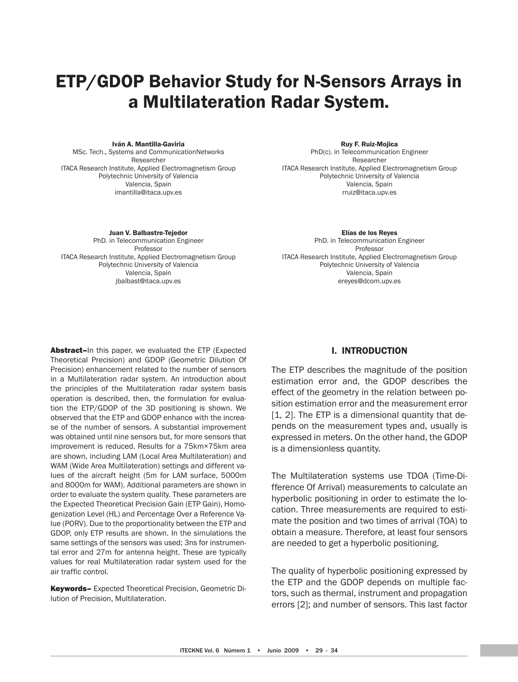# ETP/GDOP Behavior Study for N-Sensors Arrays in a Multilateration Radar System.

#### Iván A. Mantilla-Gaviria

MSc. Tech., Systems and CommunicationNetworks Researcher ITACA Research Institute, Applied Electromagnetism Group Polytechnic University of Valencia Valencia, Spain imantilla@itaca.upv.es

Ruy F. Ruiz-Mojica

PhD(c). in Telecommunication Engineer Researcher ITACA Research Institute, Applied Electromagnetism Group Polytechnic University of Valencia Valencia, Spain rruiz@itaca.upv.es

Juan V. Balbastre-Tejedor

PhD. in Telecommunication Engineer Professor ITACA Research Institute, Applied Electromagnetism Group Polytechnic University of Valencia Valencia, Spain jbalbast@itaca.upv.es

Elías de los Reyes PhD. in Telecommunication Engineer Professor ITACA Research Institute, Applied Electromagnetism Group Polytechnic University of Valencia Valencia, Spain ereyes@dcom.upv.es

Abstract–In this paper, we evaluated the ETP (Expected Theoretical Precision) and GDOP (Geometric Dilution Of Precision) enhancement related to the number of sensors in a Multilateration radar system. An introduction about the principles of the Multilateration radar system basis operation is described, then, the formulation for evaluation the ETP/GDOP of the 3D positioning is shown. We observed that the ETP and GDOP enhance with the increase of the number of sensors. A substantial improvement was obtained until nine sensors but, for more sensors that improvement is reduced. Results for a 75km×75km area are shown, including LAM (Local Area Multilateration) and WAM (Wide Area Multilateration) settings and different values of the aircraft height (5m for LAM surface, 5000m and 8000m for WAM). Additional parameters are shown in order to evaluate the system quality. These parameters are the Expected Theoretical Precision Gain (ETP Gain), Homogenization Level (HL) and Percentage Over a Reference Value (PORV). Due to the proportionality between the ETP and GDOP, only ETP results are shown. In the simulations the same settings of the sensors was used; 3ns for instrumental error and 27m for antenna height. These are typically values for real Multilateration radar system used for the air traffic control.

Keywords– Expected Theoretical Precision, Geometric Dilution of Precision, Multilateration.

## I. INTRODUCTION

The ETP describes the magnitude of the position estimation error and, the GDOP describes the effect of the geometry in the relation between position estimation error and the measurement error [1, 2]. The ETP is a dimensional quantity that depends on the measurement types and, usually is expressed in meters. On the other hand, the GDOP is a dimensionless quantity.

The Multilateration systems use TDOA (Time-Difference Of Arrival) measurements to calculate an hyperbolic positioning in order to estimate the location. Three measurements are required to estimate the position and two times of arrival (TOA) to obtain a measure. Therefore, at least four sensors are needed to get a hyperbolic positioning.

The quality of hyperbolic positioning expressed by the ETP and the GDOP depends on multiple factors, such as thermal, instrument and propagation errors [2]; and number of sensors. This last factor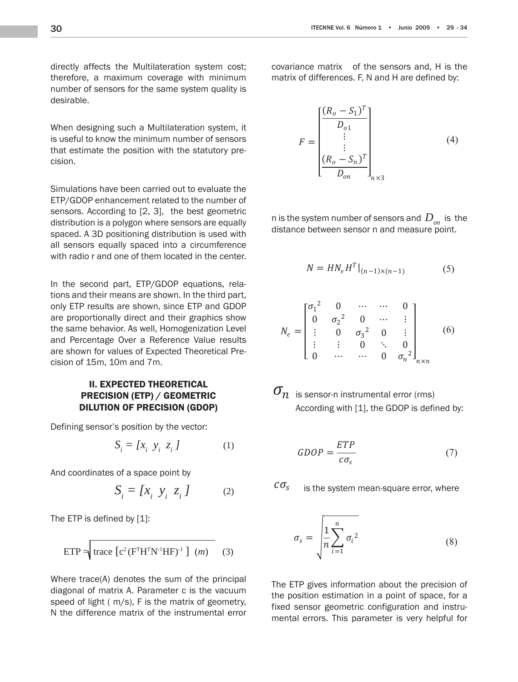ڭ

directly affects the Multilateration system cost; therefore, a maximum coverage with minimum number of sensors for the same system quality is desirable.  $\frac{1}{10}$  is the matrix of  $\frac{1}{10}$  is the matrix of  $\frac{1}{10}$  is the matrix of  $\frac{1}{10}$  is the matrix of  $\frac{1}{10}$  is the matrix of  $\frac{1}{10}$  is the matrix of  $\frac{1}{10}$  is the matrix of  $\frac{1}{10}$  is the matrix where  $\frac{1}{2}$  denotes the sum of the sum of the sum of the principal sum of the principal sum of the principal sum of the principal sum of the principal sum of the principal sum of the principal sum of the principal sum diagonal of matrix *A*. Parameter *c* is the vacuum instrumental error covariance matrix  $\mathbf{r}$  the matrix  $\mathbf{r}$  the matrix  $\mathbf{r}$  of the matrix  $\mathbf{r}$ 

When designing such a Multilateration system, it is useful to know the minimum number of sensors that estimate the position with the statutory precision.

Simulations have been carried out to evaluate the ETP/GDOP enhancement related to the number of sensors. According to [2, 3], the best geometric distribution is a polygon where sensors are equally spaced. A 3D positioning distribution is used with all sensors equally spaced into a circumference with radio r and one of them located in the center. **number of** system number of sensors and  $\alpha$ distance between sensor *n* and measure point. **n** is the system number of sensors and  $\alpha$  is the system number of sensors and  $\alpha$ distance between sensor *n* and measure point.

In the second part, ETP/GDOP equations, relations and their means are shown. In the third part, only ETP results are shown, since ETP and GDOP are proportionally direct and their graphics show the same behavior. As well, Homogenization Level and Percentage Over a Reference Value results are shown for values of Expected Theoretical Precision of 15m, 10m and 7m. distance between sensor *n* and measure point.

## II. ExPECTED THEORETICAL PRECISION (ETP) / GEOMETRIC DILUTION OF PRECISION (GDOP)

Defining sensor's position by the vector:

$$
S_i = [x_i \ y_i \ z_i] \tag{1}
$$

And coordinates of a space point by

$$
S_i = [x_i \ y_i \ z_i] \tag{2}
$$

The ETP is defined by [1]:

$$
ETP = \boxed{\text{trace } [c^2 (F^T H^T N^{-1} H F)^{-1} ] \quad (m)} \tag{3}
$$

Where trace(A) denotes the sum of the principal diagonal of matrix A. Parameter c is the vacuum speed of light ( m/s), F is the matrix of geometry, N the difference matrix of the instrumental error

covariance matrix of the sensors and, H is the um matrix of differences. F, N and H are defined by:<br>y is covariance matrix of the sensors and, H is the instrumental error covariance matrix  $\mathcal{A}$  the covariance matrix  $\mathcal{A}$ st; covariance matrix of the sensors and, H is the diagonal of matrix *A*. Parameter *c* is the vacuum st; covariance matrix of the sensors and, H is the sum of the sum of the sum of the principal sum of the principal sum of the sum of the principal sum of the sum of the principal sum of the principal sum of the principal s and *H* are defined by: ost; covariance matrix of the sensors and, H is the vacuum covariance matrix of the sensors and, H is the  $\overline{a}$  by  $\overline{a}$ ost; covariance matrix of the sensors and, H is the matrix of the matrix of the matrix of the matrix of the matrix of the matrix of the matrix of the matrix of the matrix of the matrix of the matrix of the matrix of the ma

speed of light (3ݔ10<sup>8</sup> m/s), *F* is the matrix of

speed of light (3ݔ10<sup>8</sup> m/s), *F* is the matrix of

The ETP is defined by  $\frac{1}{2}$  is defined by  $\frac{1}{2}$ 

n, it  
\n
$$
F = \begin{bmatrix} \frac{(R_o - S_1)^T}{D_{o1}} \\ \vdots \\ \frac{(R_o - S_n)^T}{D_{on}} \end{bmatrix}_{n \times 3}
$$
 (4)

n is the system number of sensors and  $D_{_{on}}$  is the distance between sensor n and measure point. pumber of conco distance between sensor n and measure point. ێ system numl ween ser ۑ ۑ s the .<br>ب ູ svstem ڭ petween ser ۑ .<br>الا er o<br>\*<br>3 h is the system number of sensors and  $\,D\,$   $\,$  is the any distance between sensor n and measure point.

er.

\n
$$
N = H N_{\epsilon} H^T |_{(n-1) \times (n-1)} \tag{5}
$$

$$
\begin{array}{llll}\n\text{int,} & & & \\
\text{OP} & & & \\
\text{well} & & & \\
\text{Its} & & & \\
\text{Its} & & & \\
\text{Its} & & & \\
\end{array} \qquad\n\begin{array}{llll}\n\sigma_1^2 & 0 & \cdots & \cdots & 0 \\
0 & \sigma_2^2 & 0 & \cdots & \vdots \\
\vdots & 0 & \sigma_3^2 & 0 & \vdots \\
\vdots & \vdots & 0 & \ddots & 0 \\
0 & \cdots & \cdots & 0 & \sigma_n^2\n\end{array}\n\qquad\n\begin{array}{llll}\n\end{array}\n\tag{6}
$$

 $\sigma_n$  is sensor-n instrumental error (rms) *n*<sub>c</sub> is sensor-*n* instrumental error (rms)  $\frac{1}{2}$  $\frac{1}{2}$ ∫inst  $\overline{\phantom{a}}$  $\eta$  is sensor-n instrumental error (rms)  $\sigma$  $\sigma_{\rm n}$  is sansor-n instrumer ار<br>ا  $\sigma_n\hspace{-3mm}/$  is sensor-n instrumental error (rms)  $\mathcal{L}(\mathcal{L})$  and  $\mathcal{L}(\mathcal{L})$  is defined by:  $\mathbf{v}_n$  is sensor-n instrumental error (rms)

ߪ݊ is sensor-*n* instrumental error (rms)

ߪ݊ is sensor-*n* instrumental error (rms)

$$
GDOP = \frac{ETP}{c\sigma_s} \tag{7}
$$

$$
c\sigma_{s}
$$
 is the system mean-square error, where

$$
\sigma_s = \sqrt{\frac{1}{n} \sum_{i=1}^n \sigma_i^2}
$$
\n(8)

The ETP gives information about the precision of ݊ the position estimation in a point of space, for a fixed sensor geometric configuration and instruthe position estimation in a point of space, for a<br>fixed sensor geometric configuration and instru-<br>mental errors. This parameter is very helpful for it the preci<br>nt of space<br>ration and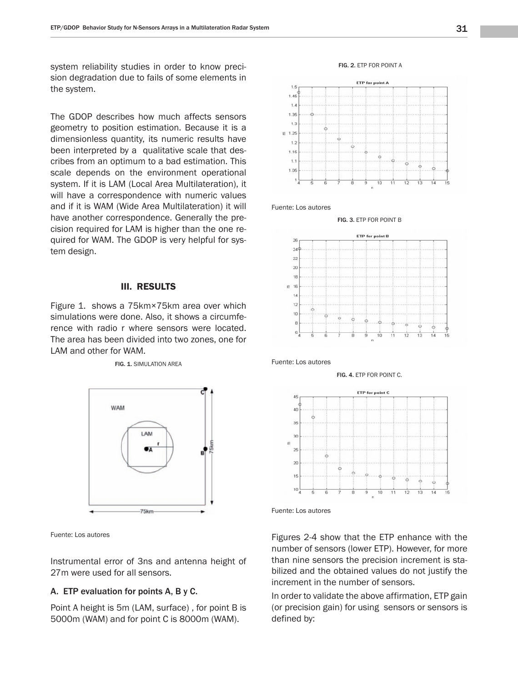system reliability studies in order to know precision degradation due to fails of some elements in  $\frac{15}{10}$ the system.  $\frac{1.45}{1.45}$ 

precision degradation due to fails of some elements

The GDOP describes how much affects sensors  $\frac{1.35}{1.35}$ geometry to position estimation. Because it is a  $\frac{13}{6}$ dimensionless quantity, its numeric results have dimensionless quantity, its numeric results have  $\frac{12}{1.8}$ cribes from an optimum to a bad estimation. This  $\begin{bmatrix} 1 & 1 \\ 1 & 2 \end{bmatrix}$ scale depends on the environment operational scale depends on the environment operational steaded in the system. If it is LAM (Local Area Multilateration), it will have a correspondence with numeric values and if it is WAM (Wide Area Multilateration) it will Fuente: Los au and the it is WAM (Wide Area Multilateration) it will have another correspondence. Generally the prehave another correspondence. Generally the precision required for LAM is higher than the one required for WAM. The GDOP is very helpful for system design.  $\mathbb{R}^n$  is very helpful for system design.

## III. RESULTS III. RESULTS

Figure 1. shows a 75km×75km area over which  $\frac{12}{10}$ simulations were done. Also, it shows a circumfesimulations were done. Also, it shows a circumfe-<br>rence with radio r where sensors were located. The area has been divided into two zones, one for LAM and other for WAM.<br>
Located into the area has been divided into the contract into the set of an intervention of a set of an intervention of all the set of an intervention of all the set of an intervention of an interve



Fuente: Los autores

Instrumental error of 3ns and antenna height of than nine 27m were used for all sensors. 27m were used for all sensors.

## A. ETP evaluation for points A, B y C.

*Point A height is 5m (LAM, surface)*, for point B is 5000m (WAM) and for point C is 8000m (WAM). **A** defined by





Fuente: Los autores





Fuente: Los autores



FIG. 4. ETP FOR POINT C.

Fuente: Los autores

Figures 2-4 show that the ETP enhance with the number of sensors (lower ETP). However, for more than nine sensors the precision increment is stabilized and the obtained values do not justify the increment in the number of sensors.

In order to validate the above affirmation, ETP gain (or precision gain) for using sensors or sensors is defined by: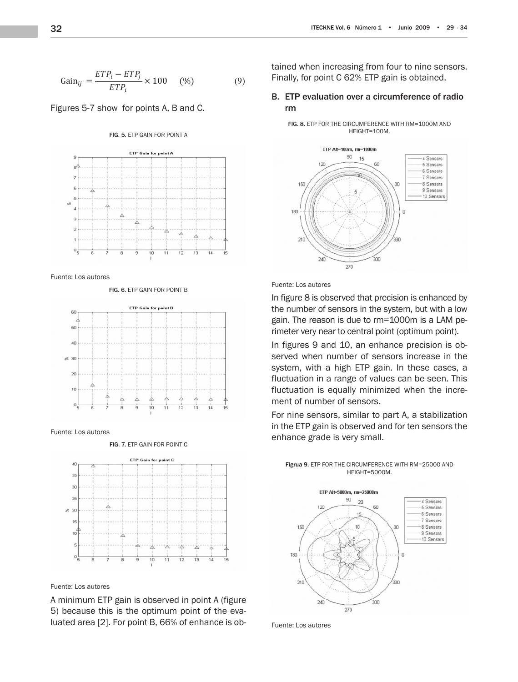$$
Gain_{ij} = \frac{ETP_i - ETP_j}{ETP_i} \times 100 \quad (\%) \tag{9}
$$

gain (or precision gain) for using sensors or using sensors or using sensors or using sensors or using se

Figures 5-7 show for points A, B and C. Figures 5-7 show Gain for points *A, B* and *C*.

#### FIG. 5. ETP GAIN FOR POINT A



Fuente: Los autores

FIG. 6. ETP GAIN FOR POINT B



Fuente: Los autores

FIG. 7. ETP GAIN FOR POINT C



Fuente: Los autores

A minimum ETP gain is observed in point A (figure 5) because this is the optimum point of the evaluated area [2]. For point B, 66% of enhance is obtained when increasing from four to nine sensors. Finally, for point C 62% ETP gain is obtained.

## B. ETP evaluation over a circumference of radio rm

FIG. 8. ETP FOR THE CIRCUMFERENCE WITH RM=1000M AND HEIGHT=100M.



### Fuente: Los autores ruente. Los autores

In figure 8 is observed that precision is enhanced by the number of sensors in the system, but with a low gain. The reason is due to rm=1000m is a LAM perimeter very near to central point (optimum point).

In figures 9 and 10, an enhance precision is observed when number of sensors increase in the system, with a high ETP gain. In these cases, a fluctuation in a range of values can be seen. This fluctuation is equally minimized when the increment of number of sensors.

For nine sensors, similar to part A, a stabilization in the ETP gain is observed and for ten sensors the enhance grade is very small.



Figrua 9. ETP FOR THE CIRCUMFERENCE WITH RM=25000 AND HEIGHT=5000M.

Fuente: Los autores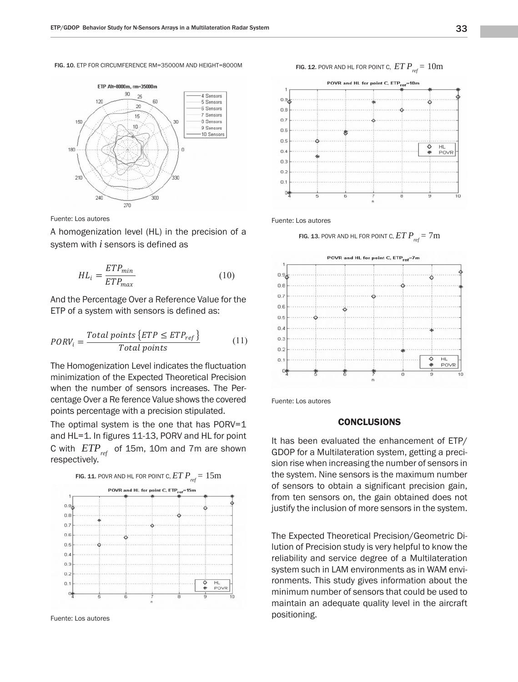FIG. 10. ETP FOR CIRCUMFERENCE RM=35000M AND HEIGHT=8000M



A homogenization level (HL) in the precision of a A homogenization level (*HL*) in the precision of a A homogenization level (*HL*) in the precision of a system with  $i$  sensors is defined as

$$
HL_i = \frac{ETP_{min}}{ETP_{max}}\tag{10}
$$

And the Percentage Over a Reference Value for the ETP of a system with sensors is defined as:

$$
PORV_i = \frac{Total\ points\left\{ETP \le ETP_{ref}\right\}}{Total\ points}
$$
(11)

The Homogenization Level indicates the fluctuation The Homogenization Level indicates the minimization of the Expected Theoretical Precision when the number of sensors increases. The Percentage Over a Re ference Value shows the covered points percentage with a precision stipulated. points percentage with a precision superiated.  $\overline{\phantom{a}}$  covers percentage with a precision stipulated  $\frac{1}{2}$ 

The optimal system is the one that has  $PORV=1$ and HL=1. In figures 11-13, PORV and HL for point C with  $ETP_{ref}$  of 15m, 10m and 7m are shown respectively. respectively. **b** with *EIT*  $_{ref}$  or form, form and *TIM* are snow *C* respectively. and *HL*=1. In figures 11-13, *PORV* and *HL* for point *C* with  $EIP_{ref}$  or 15m, 10m and 7m are shown

![](_page_4_Figure_10.jpeg)

Fuente: Los autores

FIG. 12. POVR AND HL FOR POINT C,  $ETP_{ref} = 10$ m

![](_page_4_Figure_13.jpeg)

Fuente: Los autores

FIG. 13. POVR AND HL FOR POINT C,  $ETP_{ref} = 7m$ 

![](_page_4_Figure_16.jpeg)

Fuente: Los autores

## conclusions environments. This study gives information about

It has been evaluated the enhancement of ETP/ GDOP for a Multilateration system, getting a precision rise when increasing the number of sensors in the system. Nine sensors is the maximum number of sensors to obtain a significant precision gain, from ten sensors on, the gain obtained does not from ten echoele on, the gam estance about not order to generate a higher grade of reliability to the susting the in

> The Expected Theoretical Precision/Geometric Dilution of Precision study is very helpful to know the reliability and service degree of a Multilateration system such in LAM environments as in WAM environments. This study gives information about the minimum number of sensors that could be used to maintain an adequate quality level in the aircraft positioning.